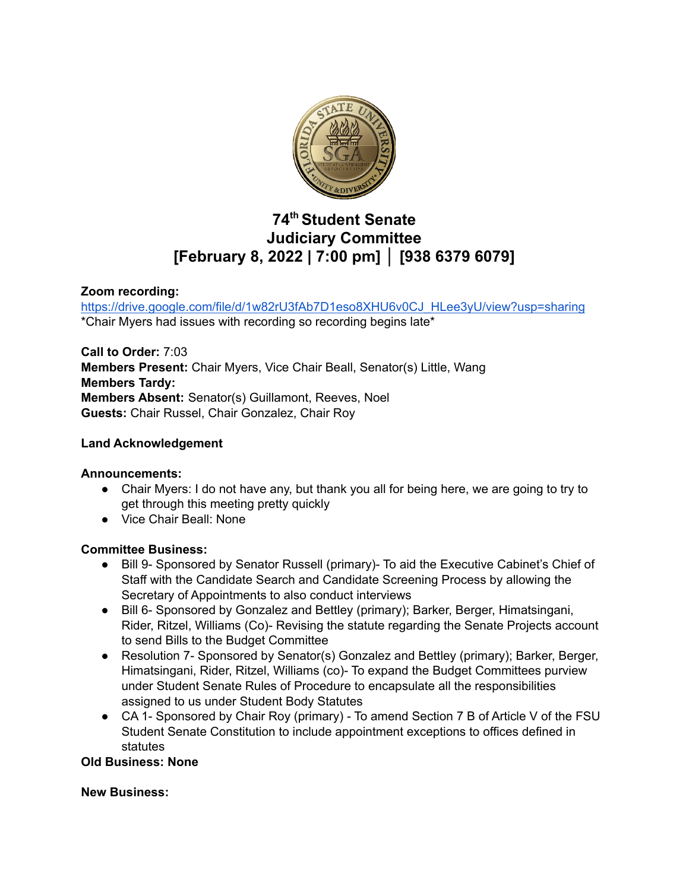

# **74 th Student Senate Judiciary Committee [February 8, 2022 | 7:00 pm] │ [938 6379 6079]**

# **Zoom recording:**

[https://drive.google.com/file/d/1w82rU3fAb7D1eso8XHU6v0CJ\\_HLee3yU/view?usp=sharing](https://drive.google.com/file/d/1w82rU3fAb7D1eso8XHU6v0CJ_HLee3yU/view?usp=sharing) \*Chair Myers had issues with recording so recording begins late\*

**Call to Order:** 7:03 **Members Present:** Chair Myers, Vice Chair Beall, Senator(s) Little, Wang **Members Tardy: Members Absent:** Senator(s) Guillamont, Reeves, Noel **Guests:** Chair Russel, Chair Gonzalez, Chair Roy

# **Land Acknowledgement**

#### **Announcements:**

- Chair Myers: I do not have any, but thank you all for being here, we are going to try to get through this meeting pretty quickly
- Vice Chair Beall: None

#### **Committee Business:**

- Bill 9- Sponsored by Senator Russell (primary)- To aid the Executive Cabinet's Chief of Staff with the Candidate Search and Candidate Screening Process by allowing the Secretary of Appointments to also conduct interviews
- Bill 6- Sponsored by Gonzalez and Bettley (primary); Barker, Berger, Himatsingani, Rider, Ritzel, Williams (Co)- Revising the statute regarding the Senate Projects account to send Bills to the Budget Committee
- Resolution 7- Sponsored by Senator(s) Gonzalez and Bettley (primary); Barker, Berger, Himatsingani, Rider, Ritzel, Williams (co)- To expand the Budget Committees purview under Student Senate Rules of Procedure to encapsulate all the responsibilities assigned to us under Student Body Statutes
- CA 1- Sponsored by Chair Roy (primary) To amend Section 7 B of Article V of the FSU Student Senate Constitution to include appointment exceptions to offices defined in statutes

#### **Old Business: None**

#### **New Business:**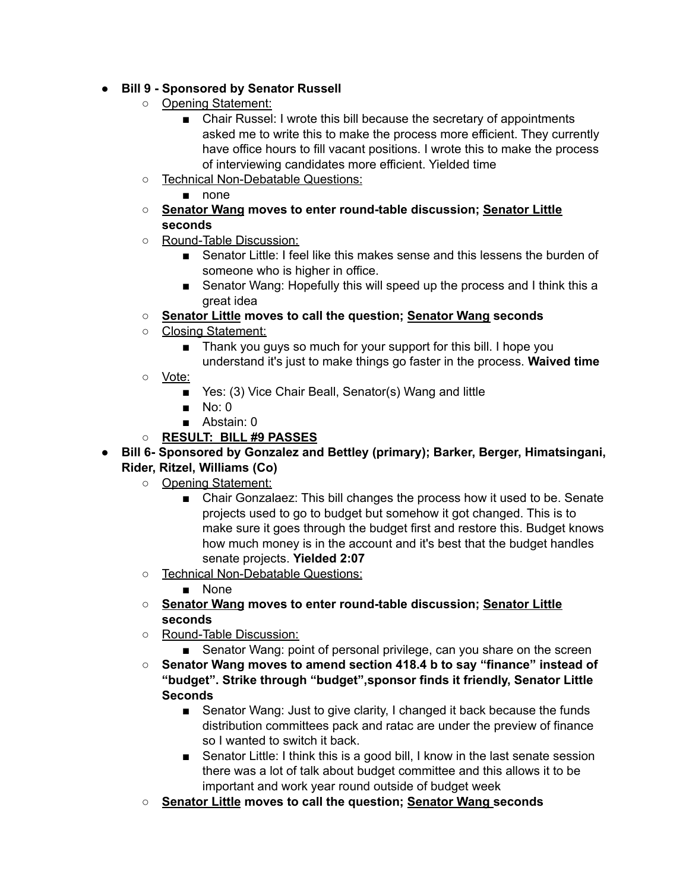# ● **Bill 9 - Sponsored by Senator Russell**

- Opening Statement:
	- Chair Russel: I wrote this bill because the secretary of appointments asked me to write this to make the process more efficient. They currently have office hours to fill vacant positions. I wrote this to make the process of interviewing candidates more efficient. Yielded time
- Technical Non-Debatable Questions:
	- none
- **○ Senator Wang moves to enter round-table discussion; Senator Little seconds**
- Round-Table Discussion:
	- Senator Little: I feel like this makes sense and this lessens the burden of someone who is higher in office.
	- Senator Wang: Hopefully this will speed up the process and I think this a great idea
- **○ Senator Little moves to call the question; Senator Wang seconds**
- Closing Statement:
	- Thank you guys so much for your support for this bill. I hope you understand it's just to make things go faster in the process. **Waived time**
- Vote:
	- Yes: (3) Vice Chair Beall, Senator(s) Wang and little
	- $\blacksquare$  No: 0
	- Abstain: 0
- **○ RESULT: BILL #9 PASSES**
- **● Bill 6- Sponsored by Gonzalez and Bettley (primary); Barker, Berger, Himatsingani, Rider, Ritzel, Williams (Co)**
	- Opening Statement:
		- Chair Gonzalaez: This bill changes the process how it used to be. Senate projects used to go to budget but somehow it got changed. This is to make sure it goes through the budget first and restore this. Budget knows how much money is in the account and it's best that the budget handles senate projects. **Yielded 2:07**
	- Technical Non-Debatable Questions:
		- None
	- **○ Senator Wang moves to enter round-table discussion; Senator Little seconds**
	- Round-Table Discussion:
		- Senator Wang: point of personal privilege, can you share on the screen
	- **Senator Wang moves to amend section 418.4 b to say "finance" instead of "budget". Strike through "budget",sponsor finds it friendly, Senator Little Seconds**
		- Senator Wang: Just to give clarity, I changed it back because the funds distribution committees pack and ratac are under the preview of finance so I wanted to switch it back.
		- Senator Little: I think this is a good bill, I know in the last senate session there was a lot of talk about budget committee and this allows it to be important and work year round outside of budget week
	- **○ Senator Little moves to call the question; Senator Wang seconds**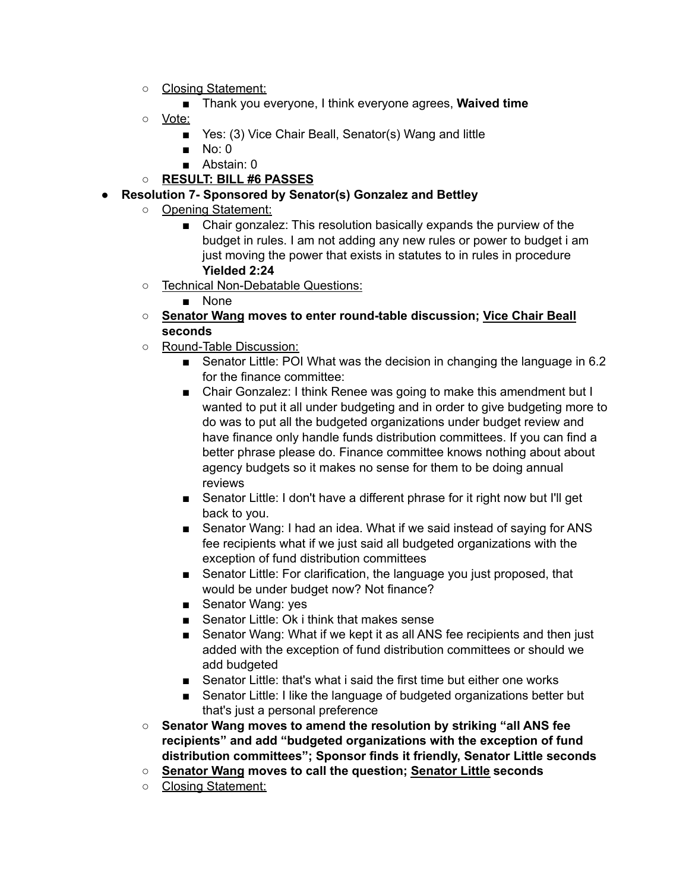- Closing Statement:
	- Thank you everyone, I think everyone agrees, **Waived time**
- Vote:
	- Yes: (3) Vice Chair Beall, Senator(s) Wang and little
	- No: 0
	- Abstain: 0
- **○ RESULT: BILL #6 PASSES**
- **● Resolution 7- Sponsored by Senator(s) Gonzalez and Bettley**
	- **○** Opening Statement:
		- Chair gonzalez: This resolution basically expands the purview of the budget in rules. I am not adding any new rules or power to budget i am just moving the power that exists in statutes to in rules in procedure **Yielded 2:24**
	- Technical Non-Debatable Questions:
		- None
	- **○ Senator Wang moves to enter round-table discussion; Vice Chair Beall seconds**
	- Round-Table Discussion:
		- Senator Little: POI What was the decision in changing the language in 6.2 for the finance committee:
		- Chair Gonzalez: I think Renee was going to make this amendment but I wanted to put it all under budgeting and in order to give budgeting more to do was to put all the budgeted organizations under budget review and have finance only handle funds distribution committees. If you can find a better phrase please do. Finance committee knows nothing about about agency budgets so it makes no sense for them to be doing annual reviews
		- Senator Little: I don't have a different phrase for it right now but I'll get back to you.
		- Senator Wang: I had an idea. What if we said instead of saying for ANS fee recipients what if we just said all budgeted organizations with the exception of fund distribution committees
		- Senator Little: For clarification, the language you just proposed, that would be under budget now? Not finance?
		- Senator Wang: yes
		- Senator Little: Ok i think that makes sense
		- Senator Wang: What if we kept it as all ANS fee recipients and then just added with the exception of fund distribution committees or should we add budgeted
		- Senator Little: that's what i said the first time but either one works
		- Senator Little: I like the language of budgeted organizations better but that's just a personal preference
	- **Senator Wang moves to amend the resolution by striking "all ANS fee recipients" and add "budgeted organizations with the exception of fund distribution committees"; Sponsor finds it friendly, Senator Little seconds**
	- **○ Senator Wang moves to call the question; Senator Little seconds**
	- Closing Statement: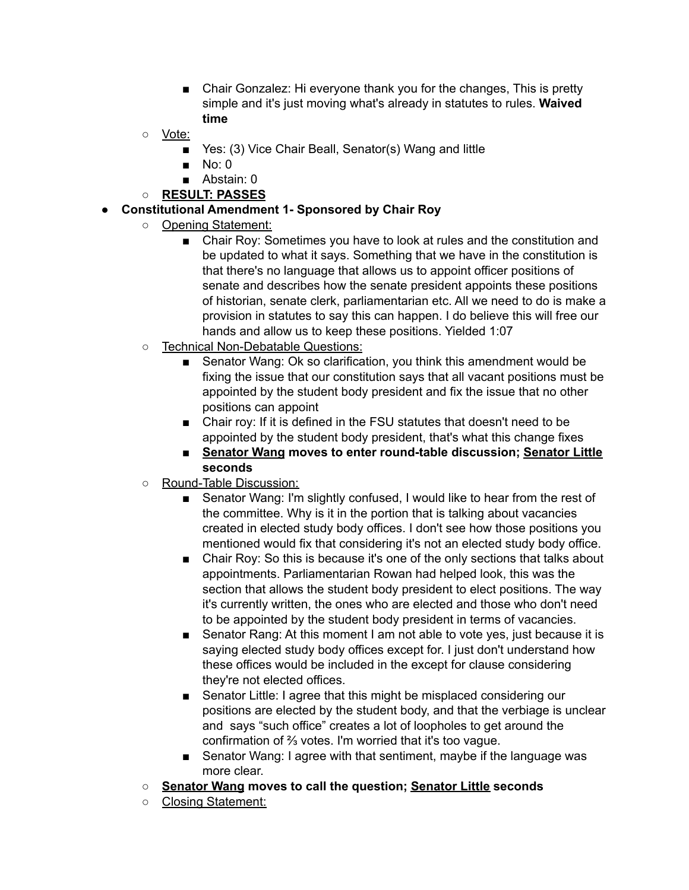- Chair Gonzalez: Hi everyone thank you for the changes, This is pretty simple and it's just moving what's already in statutes to rules. **Waived time**
- Vote:
	- Yes: (3) Vice Chair Beall, Senator(s) Wang and little
	- $\blacksquare$  No: 0
	- Abstain: 0
- **○ RESULT: PASSES**
- **● Constitutional Amendment 1- Sponsored by Chair Roy**
	- **○** Opening Statement:
		- Chair Roy: Sometimes you have to look at rules and the constitution and be updated to what it says. Something that we have in the constitution is that there's no language that allows us to appoint officer positions of senate and describes how the senate president appoints these positions of historian, senate clerk, parliamentarian etc. All we need to do is make a provision in statutes to say this can happen. I do believe this will free our hands and allow us to keep these positions. Yielded 1:07
	- o Technical Non-Debatable Questions:
		- Senator Wang: Ok so clarification, you think this amendment would be fixing the issue that our constitution says that all vacant positions must be appointed by the student body president and fix the issue that no other positions can appoint
		- Chair roy: If it is defined in the FSU statutes that doesn't need to be appointed by the student body president, that's what this change fixes
		- **Senator Wang moves to enter round-table discussion; Senator Little seconds**
	- Round-Table Discussion:
		- Senator Wang: I'm slightly confused, I would like to hear from the rest of the committee. Why is it in the portion that is talking about vacancies created in elected study body offices. I don't see how those positions you mentioned would fix that considering it's not an elected study body office.
		- Chair Roy: So this is because it's one of the only sections that talks about appointments. Parliamentarian Rowan had helped look, this was the section that allows the student body president to elect positions. The way it's currently written, the ones who are elected and those who don't need to be appointed by the student body president in terms of vacancies.
		- Senator Rang: At this moment I am not able to vote yes, just because it is saying elected study body offices except for. I just don't understand how these offices would be included in the except for clause considering they're not elected offices.
		- Senator Little: I agree that this might be misplaced considering our positions are elected by the student body, and that the verbiage is unclear and says "such office" creates a lot of loopholes to get around the confirmation of ⅔ votes. I'm worried that it's too vague.
		- Senator Wang: I agree with that sentiment, maybe if the language was more clear.
	- **○ Senator Wang moves to call the question; Senator Little seconds**
	- Closing Statement: